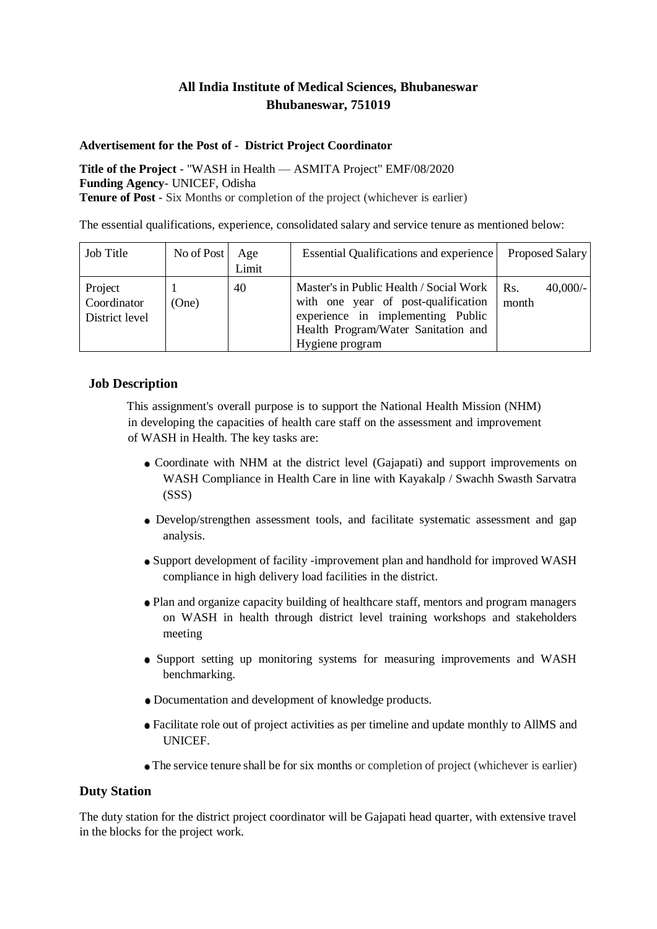# **All India Institute of Medical Sciences, Bhubaneswar Bhubaneswar, 751019**

#### **Advertisement for the Post of - District Project Coordinator**

**Title of the Project** - "WASH in Health — ASMITA Project" EMF/08/2020 **Funding Agency**- UNICEF, Odisha **Tenure of Post** - Six Months or completion of the project (whichever is earlier)

The essential qualifications, experience, consolidated salary and service tenure as mentioned below:

| Job Title                                | No of Post | Age<br>Limit | <b>Essential Qualifications and experience</b>                                                                                                                                | Proposed Salary            |
|------------------------------------------|------------|--------------|-------------------------------------------------------------------------------------------------------------------------------------------------------------------------------|----------------------------|
| Project<br>Coordinator<br>District level | (One)      | 40           | Master's in Public Health / Social Work<br>with one year of post-qualification<br>experience in implementing Public<br>Health Program/Water Sanitation and<br>Hygiene program | $40,000/-$<br>Rs.<br>month |

## **Job Description**

This assignment's overall purpose is to support the National Health Mission (NHM) in developing the capacities of health care staff on the assessment and improvement of WASH in Health. The key tasks are:

- Coordinate with NHM at the district level (Gajapati) and support improvements on WASH Compliance in Health Care in line with Kayakalp / Swachh Swasth Sarvatra (SSS)
- Develop/strengthen assessment tools, and facilitate systematic assessment and gap analysis.
- Support development of facility -improvement plan and handhold for improved WASH compliance in high delivery load facilities in the district.
- Plan and organize capacity building of healthcare staff, mentors and program managers on WASH in health through district level training workshops and stakeholders meeting
- Support setting up monitoring systems for measuring improvements and WASH benchmarking.
- Documentation and development of knowledge products.
- Facilitate role out of project activities as per timeline and update monthly to AllMS and UNICEF.
- The service tenure shall be for six months or completion of project (whichever is earlier)

## **Duty Station**

The duty station for the district project coordinator will be Gajapati head quarter, with extensive travel in the blocks for the project work.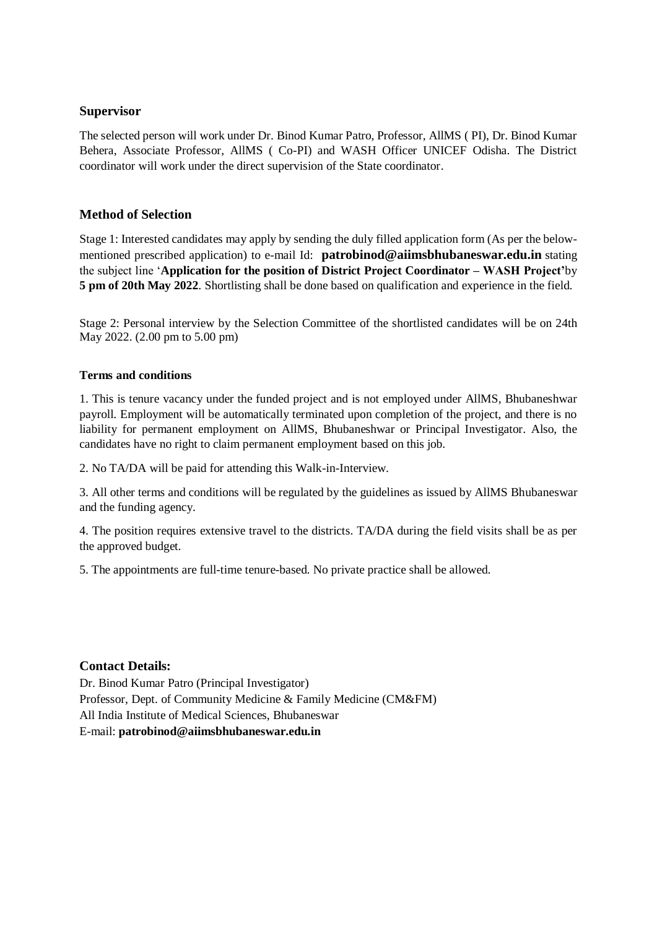#### **Supervisor**

The selected person will work under Dr. Binod Kumar Patro, Professor, AllMS ( PI), Dr. Binod Kumar Behera, Associate Professor, AllMS ( Co-PI) and WASH Officer UNICEF Odisha. The District coordinator will work under the direct supervision of the State coordinator.

## **Method of Selection**

Stage 1: Interested candidates may apply by sending the duly filled application form (As per the belowmentioned prescribed application) to e-mail Id: **[patrobinod@aiimsbhubaneswar.edu.in](mailto:patrobinod@aiimsbhubaneswar.edu.in)** stating the subject line '**Application for the position of District Project Coordinator – WASH Project'**by **5 pm of 20th May 2022**. Shortlisting shall be done based on qualification and experience in the field.

Stage 2: Personal interview by the Selection Committee of the shortlisted candidates will be on 24th May 2022. (2.00 pm to 5.00 pm)

#### **Terms and conditions**

1. This is tenure vacancy under the funded project and is not employed under AllMS, Bhubaneshwar payroll. Employment will be automatically terminated upon completion of the project, and there is no liability for permanent employment on AllMS, Bhubaneshwar or Principal Investigator. Also, the candidates have no right to claim permanent employment based on this job.

2. No TA/DA will be paid for attending this Walk-in-Interview.

3. All other terms and conditions will be regulated by the guidelines as issued by AllMS Bhubaneswar and the funding agency.

4. The position requires extensive travel to the districts. TA/DA during the field visits shall be as per the approved budget.

5. The appointments are full-time tenure-based. No private practice shall be allowed.

## **Contact Details:**

Dr. Binod Kumar Patro (Principal Investigator) Professor, Dept. of Community Medicine & Family Medicine (CM&FM) All India Institute of Medical Sciences, Bhubaneswar E-mail: **patrobinod@aiimsbhubaneswar.edu.in**